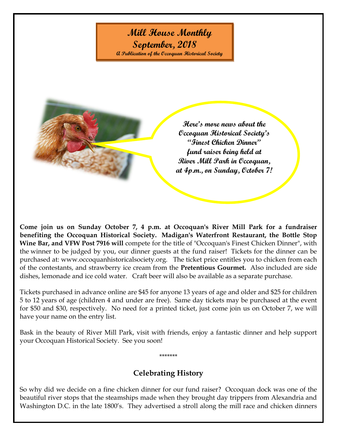## **Mill House Monthly**

**September, 2018 A Publication of the Occoquan Historical Society**

> **Here's more news about the Occoquan Historical Society's "Finest Chicken Dinner" fund raiser being held at River Mill Park in Occoquan, at 4p.m., on Sunday, October 7!**

**Come join us on Sunday October 7, 4 p.m. at Occoquan's River Mill Park for a fundraiser benefiting the Occoquan Historical Society. [Madigan's Waterfront Restaurant,](http://www.madiganswaterfront.com/index.php) the [Bottle Stop](http://www.bottlestopva.com/)  [Wine Bar,](http://www.bottlestopva.com/) and [VFW Post 7916](http://www.vfwpost7916.org/) will** compete for the title of "Occoquan's Finest Chicken Dinner", with the winner to be judged by you, our dinner guests at the fund raiser! Tickets for the dinner can be purchased at: www.occoquanhistoricalsociety.org. The ticket price entitles you to chicken from each of the contestants, and strawberry ice cream from the **Pretentious Gourmet.** Also included are side dishes, lemonade and ice cold water. Craft beer will also be available as a separate purchase.

Tickets purchased in advance online are \$45 for anyone 13 years of age and older and \$25 for children 5 to 12 years of age (children 4 and under are free). Same day tickets may be purchased at the event for \$50 and \$30, respectively. No need for a printed ticket, just come join us on October 7, we will have your name on the entry list.

Bask in the beauty of River Mill Park, visit with friends, enjoy a fantastic dinner and help support your Occoquan Historical Society. See you soon!

## **Celebrating History**

\*\*\*\*\*\*\*

So why did we decide on a fine chicken dinner for our fund raiser? Occoquan dock was one of the beautiful river stops that the steamships made when they brought day trippers from Alexandria and Washington D.C. in the late 1800's. They advertised a stroll along the mill race and chicken dinners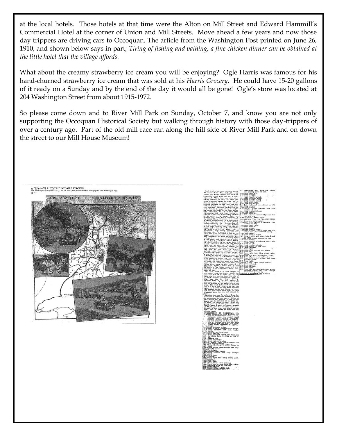at the local hotels. Those hotels at that time were the Alton on Mill Street and Edward Hammill's Commercial Hotel at the corner of Union and Mill Streets. Move ahead a few years and now those day trippers are driving cars to Occoquan. The article from the Washington Post printed on June 26, 1910, and shown below says in part; *Tiring of fishing and bathing, a fine chicken dinner can be obtained at the little hotel that the village affords.*

What about the creamy strawberry ice cream you will be enjoying? Ogle Harris was famous for his hand-churned strawberry ice cream that was sold at his *Harris Grocery*. He could have 15-20 gallons of it ready on a Sunday and by the end of the day it would all be gone! Ogle's store was located at 204 Washington Street from about 1915-1972.

So please come down and to River Mill Park on Sunday, October 7, and know you are not only supporting the Occoquan Historical Society but walking through history with those day-trippers of over a century ago. Part of the old mill race ran along the hill side of River Mill Park and on down the street to our Mill House Museum!





vidge.<br>traight abend.<br>a right and pass